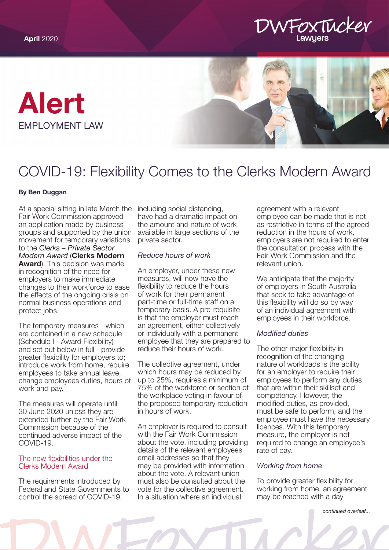





# COVID-19: Flexibility Comes to the Clerks Modern Award

### By Ben Duggan

At a special sitting in late March the Fair Work Commission approved an application made by business groups and supported by the union movement for temporary variations to the *Clerks – Private Sector Modern Award* (Clerks Modern **Award**). This decision was made in recognition of the need for employers to make immediate changes to their workforce to ease the effects of the ongoing crisis on normal business operations and protect jobs.

The temporary measures - which are contained in a new schedule (Schedule I - Award Flexibility) and set out below in full - provide greater flexibility for employers to; introduce work from home, require employees to take annual leave, change employees duties, hours of work and pay.

The measures will operate until 30 June 2020 unless they are extended further by the Fair Work Commission because of the continued adverse impact of the COVID-19.

# The new flexibilities under the Clerks Modern Award

The requirements introduced by Federal and State Governments to control the spread of COVID-19,

including social distancing, have had a dramatic impact on the amount and nature of work available in large sections of the private sector.

# *Reduce hours of work*

An employer, under these new measures, will now have the flexibility to reduce the hours of work for their permanent part-time or full-time staff on a temporary basis. A pre-requisite is that the employer must reach an agreement, either collectively or individually with a permanent employee that they are prepared to reduce their hours of work.

The collective agreement, under which hours may be reduced by up to 25%, requires a minimum of 75% of the workforce or section of the workplace voting in favour of the proposed temporary reduction in hours of work.

An employer is required to consult with the Fair Work Commission about the vote, including providing details of the relevant employees email addresses so that they may be provided with information about the vote. A relevant union must also be consulted about the vote for the collective agreement. In a situation where an individual

agreement with a relevant employee can be made that is not as restrictive in terms of the agreed reduction in the hours of work, employers are not required to enter the consultation process with the Fair Work Commission and the relevant union.

We anticipate that the majority of employers in South Australia that seek to take advantage of this flexibility will do so by way of an individual agreement with employees in their workforce.

# *Modified duties*

The other major flexibility in recognition of the changing nature of workloads is the ability for an employer to require their employees to perform any duties that are within their skillset and competency. However, the modified duties, as provided, must be safe to perform, and the employee must have the necessary licences. With this temporary measure, the employer is not required to change an employee's rate of pay.

# *Working from home*

To provide greater flexibility for working from home, an agreement may be reached with a day

*continued overleaf...*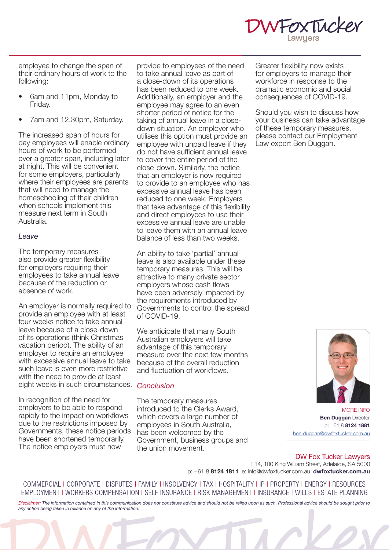

employee to change the span of their ordinary hours of work to the following:

- 6am and 11pm, Monday to Friday.
- 7am and 12.30pm, Saturday.

The increased span of hours for day employees will enable ordinary hours of work to be performed over a greater span, including later at night. This will be convenient for some employers, particularly where their employees are parents that will need to manage the homeschooling of their children when schools implement this measure next term in South Australia.

# *Leave*

The temporary measures also provide greater flexibility for employers requiring their employees to take annual leave because of the reduction or absence of work.

An employer is normally required to provide an employee with at least four weeks notice to take annual leave because of a close-down of its operations (think Christmas vacation period). The ability of an employer to require an employee with excessive annual leave to take such leave is even more restrictive with the need to provide at least eight weeks in such circumstances. *Conclusion*

In recognition of the need for employers to be able to respond rapidly to the impact on workflows due to the restrictions imposed by Governments, these notice periods have been shortened temporarily. The notice employers must now

provide to employees of the need to take annual leave as part of a close-down of its operations has been reduced to one week. Additionally, an employer and the employee may agree to an even shorter period of notice for the taking of annual leave in a closedown situation. An employer who utilises this option must provide an employee with unpaid leave if they do not have sufficient annual leave to cover the entire period of the close-down. Similarly, the notice that an employer is now required to provide to an employee who has excessive annual leave has been reduced to one week. Employers that take advantage of this flexibility and direct employees to use their excessive annual leave are unable to leave them with an annual leave balance of less than two weeks.

An ability to take 'partial' annual leave is also available under these temporary measures. This will be attractive to many private sector employers whose cash flows have been adversely impacted by the requirements introduced by Governments to control the spread of COVID-19.

We anticipate that many South Australian employers will take advantage of this temporary measure over the next few months because of the overall reduction and fluctuation of workflows.

The temporary measures introduced to the Clerks Award, which covers a large number of employees in South Australia, has been welcomed by the Government, business groups and the union movement.

Greater flexibility now exists for employers to manage their workforce in response to the dramatic economic and social consequences of COVID-19.

Should you wish to discuss how your business can take advantage of these temporary measures, please contact our Employment Law expert Ben Duggan.



MORE INFO **Ben Duggan Director** p: +61 8 8124 1881 ben.dugga[n@dwfoxtucker.com.au](mailto:ben.duggan%40dwfoxtucker.com.au%0D?subject=)

#### DW Fox Tucker Lawyers L14, 100 King William Street, Adelaide, SA 5000 p: +61 8 8124 1811 e: info@dwfoxtucker.com.au dwfoxtucker.com.au

COMMERCIAL | CORPORATE | DISPUTES | FAMILY | INSOLVENCY | TAX | HOSPITALITY | IP | PROPERTY | ENERGY | RESOURCES EMPLOYMENT | WORKERS COMPENSATION | SELF INSURANCE | RISK MANAGEMENT | INSURANCE | WILLS | ESTATE PLANNING

*Disclaimer: The information contained in this communication does not constitute advice and should not be relied upon as such. Professional advice should be sought prior to any action being taken in reliance on any of the information.*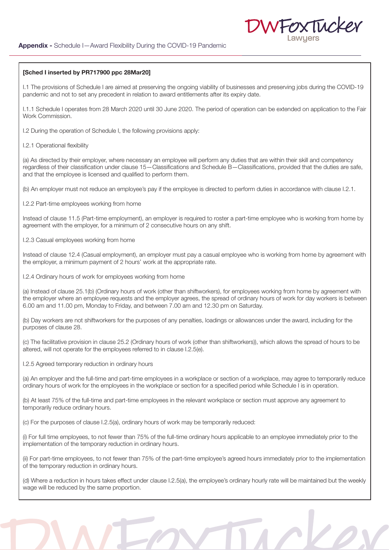#### [Sched I inserted by PR717900 ppc 28Mar20]

I.1 The provisions of Schedule I are aimed at preserving the ongoing viability of businesses and preserving jobs during the COVID-19 pandemic and not to set any precedent in relation to award entitlements after its expiry date.

FOXTINCKEN

I.1.1 Schedule I operates from 28 March 2020 until 30 June 2020. The period of operation can be extended on application to the Fair Work Commission.

I.2 During the operation of Schedule I, the following provisions apply:

I.2.1 Operational flexibility

(a) As directed by their employer, where necessary an employee will perform any duties that are within their skill and competency regardless of their classification under clause 15—Classifications and Schedule B—Classifications, provided that the duties are safe, and that the employee is licensed and qualified to perform them.

(b) An employer must not reduce an employee's pay if the employee is directed to perform duties in accordance with clause I.2.1.

I.2.2 Part-time employees working from home

Instead of clause 11.5 (Part-time employment), an employer is required to roster a part-time employee who is working from home by agreement with the employer, for a minimum of 2 consecutive hours on any shift.

I.2.3 Casual employees working from home

Instead of clause 12.4 (Casual employment), an employer must pay a casual employee who is working from home by agreement with the employer, a minimum payment of 2 hours' work at the appropriate rate.

I.2.4 Ordinary hours of work for employees working from home

(a) Instead of clause 25.1(b) (Ordinary hours of work (other than shiftworkers), for employees working from home by agreement with the employer where an employee requests and the employer agrees, the spread of ordinary hours of work for day workers is between 6.00 am and 11.00 pm, Monday to Friday, and between 7.00 am and 12.30 pm on Saturday.

(b) Day workers are not shiftworkers for the purposes of any penalties, loadings or allowances under the award, including for the purposes of clause 28.

(c) The facilitative provision in clause 25.2 (Ordinary hours of work (other than shiftworkers)), which allows the spread of hours to be altered, will not operate for the employees referred to in clause I.2.5(e).

I.2.5 Agreed temporary reduction in ordinary hours

(a) An employer and the full-time and part-time employees in a workplace or section of a workplace, may agree to temporarily reduce ordinary hours of work for the employees in the workplace or section for a specified period while Schedule I is in operation.

(b) At least 75% of the full-time and part-time employees in the relevant workplace or section must approve any agreement to temporarily reduce ordinary hours.

(c) For the purposes of clause I.2.5(a), ordinary hours of work may be temporarily reduced:

(i) For full time employees, to not fewer than 75% of the full-time ordinary hours applicable to an employee immediately prior to the implementation of the temporary reduction in ordinary hours.

(ii) For part-time employees, to not fewer than 75% of the part-time employee's agreed hours immediately prior to the implementation of the temporary reduction in ordinary hours.

(d) Where a reduction in hours takes effect under clause I.2.5(a), the employee's ordinary hourly rate will be maintained but the weekly wage will be reduced by the same proportion.